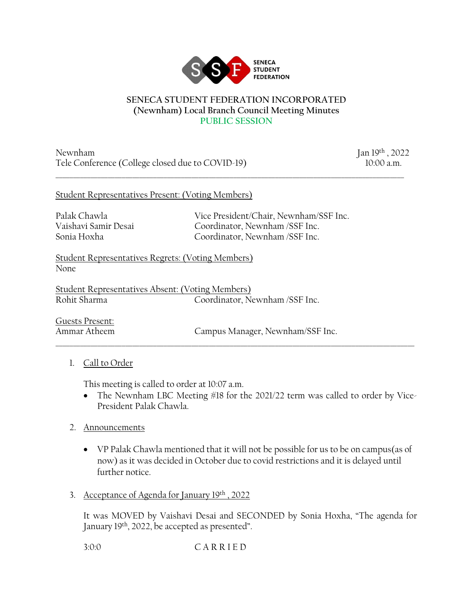

#### **SENECA STUDENT FEDERATION INCORPORATED (Newnham) Local Branch Council Meeting Minutes PUBLIC SESSION**

\_\_\_\_\_\_\_\_\_\_\_\_\_\_\_\_\_\_\_\_\_\_\_\_\_\_\_\_\_\_\_\_\_\_\_\_\_\_\_\_\_\_\_\_\_\_\_\_\_\_\_\_\_\_\_\_\_\_\_\_\_\_\_\_\_\_\_\_\_\_\_\_\_\_\_\_\_\_\_\_\_\_\_\_\_\_\_\_\_\_\_\_\_\_\_\_\_\_\_\_

Newnham Jan 19th, 2022 Tele Conference (College closed due to COVID-19) 10:00 a.m.

#### Student Representatives Present: (Voting Members)

Palak Chawla Vice President/Chair, Newnham/SSF Inc. Vaishavi Samir Desai Coordinator, Newnham /SSF Inc. Sonia Hoxha Coordinator, Newnham /SSF Inc.

Student Representatives Regrets: (Voting Members) None

Student Representatives Absent: (Voting Members) Rohit Sharma Coordinator, Newnham /SSF Inc.

Guests Present:

Ammar Atheem Campus Manager, Newnham/SSF Inc.

## 1. Call to Order

This meeting is called to order at 10:07 a.m.

• The Newnham LBC Meeting #18 for the 2021/22 term was called to order by Vice-President Palak Chawla.

\_\_\_\_\_\_\_\_\_\_\_\_\_\_\_\_\_\_\_\_\_\_\_\_\_\_\_\_\_\_\_\_\_\_\_\_\_\_\_\_\_\_\_\_\_\_\_\_\_\_\_\_\_\_\_\_\_\_\_\_\_\_\_\_\_\_\_\_\_\_\_\_\_\_\_\_\_\_\_\_\_\_\_\_\_\_\_\_\_\_\_\_\_\_\_\_\_\_\_\_\_\_\_

- 2. Announcements
	- VP Palak Chawla mentioned that it will not be possible for us to be on campus(as of now) as it was decided in October due to covid restrictions and it is delayed until further notice.
- 3. Acceptance of Agenda for January 19th , 2022

It was MOVED by Vaishavi Desai and SECONDED by Sonia Hoxha, "The agenda for January 19<sup>th</sup>, 2022, be accepted as presented".

3:0:0 C A R R I E D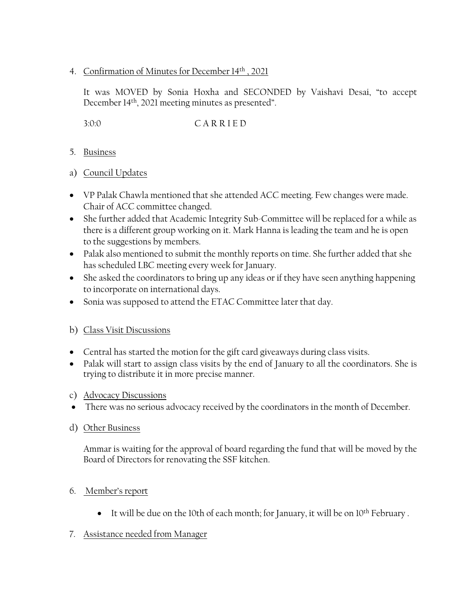#### 4. Confirmation of Minutes for December 14th , 2021

It was MOVED by Sonia Hoxha and SECONDED by Vaishavi Desai, "to accept December 14th, 2021 meeting minutes as presented".

3:0:0 C A R R I E D

- 5. Business
- a) Council Updates
- VP Palak Chawla mentioned that she attended ACC meeting. Few changes were made. Chair of ACC committee changed.
- She further added that Academic Integrity Sub-Committee will be replaced for a while as there is a different group working on it. Mark Hanna is leading the team and he is open to the suggestions by members.
- Palak also mentioned to submit the monthly reports on time. She further added that she has scheduled LBC meeting every week for January.
- She asked the coordinators to bring up any ideas or if they have seen anything happening to incorporate on international days.
- Sonia was supposed to attend the ETAC Committee later that day.

## b) Class Visit Discussions

- Central has started the motion for the gift card giveaways during class visits.
- Palak will start to assign class visits by the end of January to all the coordinators. She is trying to distribute it in more precise manner.
- c) Advocacy Discussions
- There was no serious advocacy received by the coordinators in the month of December.
- d) Other Business

Ammar is waiting for the approval of board regarding the fund that will be moved by the Board of Directors for renovating the SSF kitchen.

- 6. Member's report
	- It will be due on the 10th of each month; for January, it will be on  $10<sup>th</sup>$  February .

## 7. Assistance needed from Manager